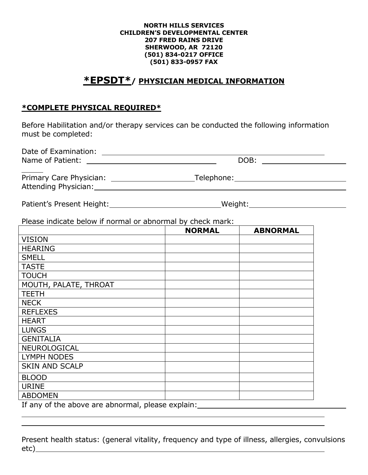## **NORTH HILLS SERVICES CHILDREN'S DEVELOPMENTAL CENTER 207 FRED RAINS DRIVE SHERWOOD, AR 72120 (501) 834-0217 OFFICE (501) 833-0957 FAX**

## **\*EPSDT\*/ PHYSICIAN MEDICAL INFORMATION**

## **\*COMPLETE PHYSICAL REQUIRED\***

Before Habilitation and/or therapy services can be conducted the following information must be completed:

| Date of Examination:<br>Name of Patient:        | DOB:       |  |
|-------------------------------------------------|------------|--|
| Primary Care Physician:<br>Attending Physician: | Telephone: |  |

Patient's Present Height: Meight: Weight: Weight: Weight:

Please indicate below if normal or abnormal by check mark:

|                                                   | <b>NORMAL</b> | <b>ABNORMAL</b> |
|---------------------------------------------------|---------------|-----------------|
| <b>VISION</b>                                     |               |                 |
| <b>HEARING</b>                                    |               |                 |
| <b>SMELL</b>                                      |               |                 |
| <b>TASTE</b>                                      |               |                 |
| <b>TOUCH</b>                                      |               |                 |
| MOUTH, PALATE, THROAT                             |               |                 |
| <b>TEETH</b>                                      |               |                 |
| <b>NECK</b>                                       |               |                 |
| <b>REFLEXES</b>                                   |               |                 |
| <b>HEART</b>                                      |               |                 |
| <b>LUNGS</b>                                      |               |                 |
| <b>GENITALIA</b>                                  |               |                 |
| NEUROLOGICAL                                      |               |                 |
| <b>LYMPH NODES</b>                                |               |                 |
| <b>SKIN AND SCALP</b>                             |               |                 |
| <b>BLOOD</b>                                      |               |                 |
| <b>URINE</b>                                      |               |                 |
| <b>ABDOMEN</b>                                    |               |                 |
| If any of the above are abnormal, please explain: |               |                 |

Present health status: (general vitality, frequency and type of illness, allergies, convulsions etc)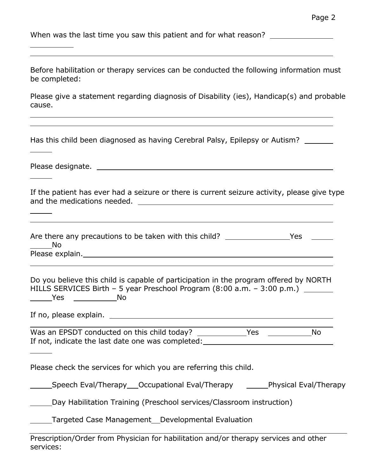When was the last time you saw this patient and for what reason? \_\_\_\_\_\_\_\_\_\_\_\_\_\_\_

Before habilitation or therapy services can be conducted the following information must be completed:

Please give a statement regarding diagnosis of Disability (ies), Handicap(s) and probable cause.

Has this child been diagnosed as having Cerebral Palsy, Epilepsy or Autism?

Please designate.

If the patient has ever had a seizure or there is current seizure activity, please give type and the medications needed.

Are there any precautions to be taken with this child? \_\_\_\_\_\_\_\_\_\_\_\_\_\_\_\_\_\_\_\_\_Yes No Please explain. Manual Contract of the Please explain.

Do you believe this child is capable of participation in the program offered by NORTH HILLS SERVICES Birth – 5 year Preschool Program (8:00 a.m. – 3:00 p.m.) <u>No Yes</u> No

If no, please explain.

Was an EPSDT conducted on this child today? Yes No If not, indicate the last date one was completed:

Please check the services for which you are referring this child.

Speech Eval/Therapy \_\_ Occupational Eval/Therapy \_\_\_\_\_\_\_\_Physical Eval/Therapy

Day Habilitation Training (Preschool services/Classroom instruction)

**Targeted Case Management** Developmental Evaluation

Prescription/Order from Physician for habilitation and/or therapy services and other services: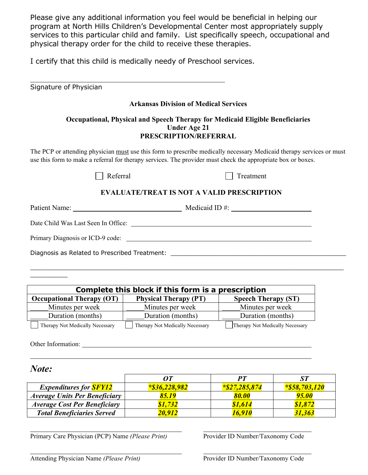Please give any additional information you feel would be beneficial in helping our program at North Hills Children's Developmental Center most appropriately supply services to this particular child and family. List specifically speech, occupational and physical therapy order for the child to receive these therapies.

I certify that this child is medically needy of Preschool services.

| Signature of Physician                                                                                                        |                                                                                                                                                                                                                                      |  |  |  |
|-------------------------------------------------------------------------------------------------------------------------------|--------------------------------------------------------------------------------------------------------------------------------------------------------------------------------------------------------------------------------------|--|--|--|
|                                                                                                                               | <b>Arkansas Division of Medical Services</b>                                                                                                                                                                                         |  |  |  |
| Occupational, Physical and Speech Therapy for Medicaid Eligible Beneficiaries<br><b>Under Age 21</b><br>PRESCRIPTION/REFERRAL |                                                                                                                                                                                                                                      |  |  |  |
|                                                                                                                               | The PCP or attending physician must use this form to prescribe medically necessary Medicaid therapy services or must<br>use this form to make a referral for therapy services. The provider must check the appropriate box or boxes. |  |  |  |
| Referral                                                                                                                      | Treatment                                                                                                                                                                                                                            |  |  |  |
|                                                                                                                               | <b>EVALUATE/TREAT IS NOT A VALID PRESCRIPTION</b>                                                                                                                                                                                    |  |  |  |
|                                                                                                                               |                                                                                                                                                                                                                                      |  |  |  |
|                                                                                                                               |                                                                                                                                                                                                                                      |  |  |  |
|                                                                                                                               |                                                                                                                                                                                                                                      |  |  |  |
| Diagnosis as Related to Prescribed Treatment: __________________________________                                              |                                                                                                                                                                                                                                      |  |  |  |

 $\_$  , and the set of the set of the set of the set of the set of the set of the set of the set of the set of the set of the set of the set of the set of the set of the set of the set of the set of the set of the set of th

| Complete this block if this form is a prescription |                                 |                                 |  |  |
|----------------------------------------------------|---------------------------------|---------------------------------|--|--|
| <b>Occupational Therapy (OT)</b>                   | <b>Physical Therapy (PT)</b>    | <b>Speech Therapy (ST)</b>      |  |  |
| Minutes per week                                   | Minutes per week                | Minutes per week                |  |  |
| Duration (months)                                  | Duration (months)               | Duration (months)               |  |  |
| Therapy Not Medically Necessary                    | Therapy Not Medically Necessary | Therapy Not Medically Necessary |  |  |

Other Information: University of the University of the University of the University of the University of the University of the University of the University of the University of the University of the University of the Unive

 $\mathcal{L}$  and  $\mathcal{L}$  and  $\mathcal{L}$ 

*Note:*

|                                      | NТ               | PТ              |                  |
|--------------------------------------|------------------|-----------------|------------------|
| <b>Expenditures for SFY12</b>        | $*$ \$36,228,982 | $*27, 285, 874$ | $*$ \$58,703,120 |
| <b>Average Units Per Beneficiary</b> | 85.19            | 80.00           | 95.00            |
| <b>Average Cost Per Beneficiary</b>  | \$1,732          | \$1,614         | \$1,872          |
| <b>Total Beneficiaries Served</b>    | 20,912           | 16,910          | 31,363           |

Primary Care Physician (PCP) Name *(Please Print)* Provider ID Number/Taxonomy Code